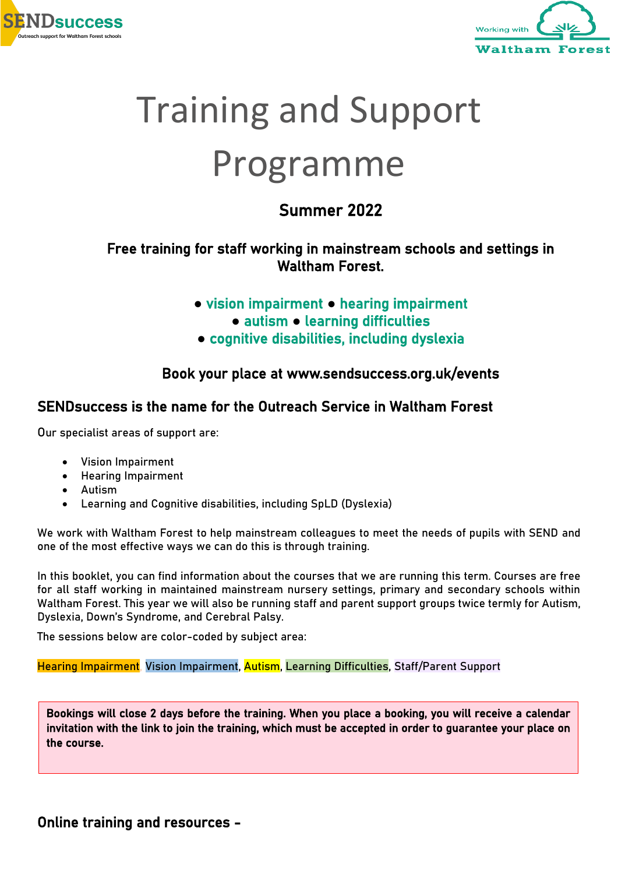



# Training and Support Programme

### Summer 2022

#### Free training for staff working in mainstream schools and settings in Waltham Forest.

- **●** vision impairment **●** hearing impairment
	- **●** autism **●** learning difficulties
- **●** cognitive disabilities, including dyslexia

#### Book your place at www.sendsuccess.org.uk/events

#### SENDsuccess is the name for the Outreach Service in Waltham Forest

Our specialist areas of support are:

- Vision Impairment
- Hearing Impairment
- Autism

 $\overline{\phantom{a}}$ 

• Learning and Cognitive disabilities, including SpLD (Dyslexia)

We work with Waltham Forest to help mainstream colleagues to meet the needs of pupils with SEND and one of the most effective ways we can do this is through training.

In this booklet, you can find information about the courses that we are running this term. Courses are free for all staff working in maintained mainstream nursery settings, primary and secondary schools within Waltham Forest. This year we will also be running staff and parent support groups twice termly for Autism, Dyslexia, Down's Syndrome, and Cerebral Palsy.

The sessions below are color-coded by subject area:

Hearing Impairment, Vision Impairment, Autism, Learning Difficulties, Staff/Parent Support

Bookings will close 2 days before the training. When you place a booking, you will receive a calendar invitation with the link to join the training, which must be accepted in order to guarantee your place on the course.

Online training and resources -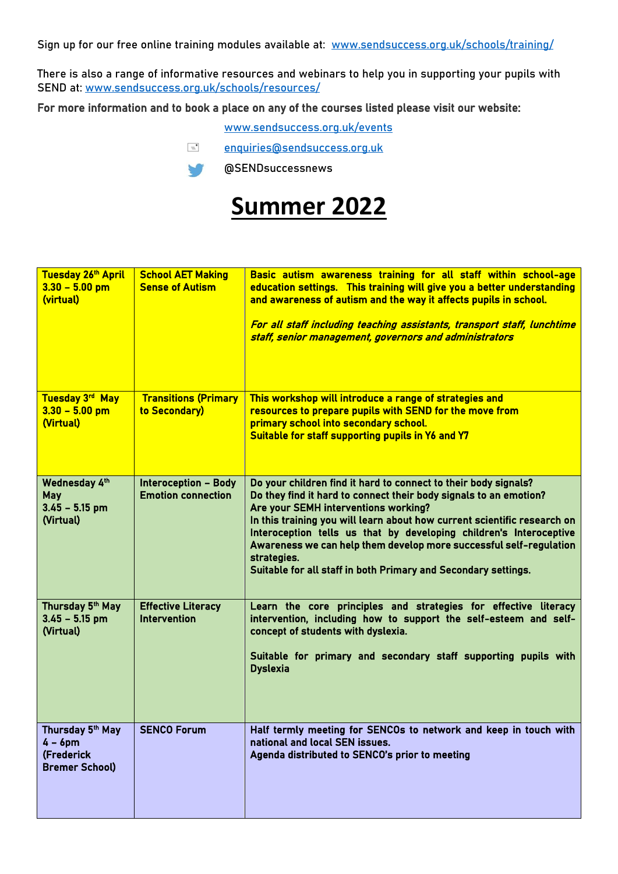Sign up for our free online training modules available at: [www.sendsuccess.org.uk/schools/training/](http://www.sendsuccess.org.uk/schools/training/)

There is also a range of informative resources and webinars to help you in supporting your pupils with SEND at: [www.sendsuccess.org.uk/schools/resources/](https://sendsuccess.org.uk/schools/resources/)

#### For more information and to book a place on any of the courses listed please visit our website:

[www.sendsuccess.org.uk/events](http://www.sendsuccess.org.uk/events)

[enquiries@sendsuccess.org.uk](mailto:enquiries@sendsuccess.org.uk)

@SENDsuccessnews  $\sqrt{ }$ 

## **Summer 2022**

| Tuesday 26th April<br>$3.30 - 5.00$ pm<br>(virtual)                   | <b>School AET Making</b><br><b>Sense of Autism</b>       | Basic autism awareness training for all staff within school-age<br>education settings. This training will give you a better understanding<br>and awareness of autism and the way it affects pupils in school.<br>For all staff including teaching assistants, transport staff, lunchtime<br>staff, senior management, governors and administrators                                                                                                                                    |
|-----------------------------------------------------------------------|----------------------------------------------------------|---------------------------------------------------------------------------------------------------------------------------------------------------------------------------------------------------------------------------------------------------------------------------------------------------------------------------------------------------------------------------------------------------------------------------------------------------------------------------------------|
| Tuesday 3rd May<br>$3.30 - 5.00$ pm<br>(Virtual)                      | <b>Transitions (Primary</b><br>to Secondary)             | This workshop will introduce a range of strategies and<br>resources to prepare pupils with SEND for the move from<br>primary school into secondary school.<br>Suitable for staff supporting pupils in Y6 and Y7                                                                                                                                                                                                                                                                       |
| Wednesday 4th<br>May<br>$3.45 - 5.15$ pm<br>(Virtual)                 | <b>Interoception - Body</b><br><b>Emotion connection</b> | Do your children find it hard to connect to their body signals?<br>Do they find it hard to connect their body signals to an emotion?<br>Are your SEMH interventions working?<br>In this training you will learn about how current scientific research on<br>Interoception tells us that by developing children's Interoceptive<br>Awareness we can help them develop more successful self-regulation<br>strategies.<br>Suitable for all staff in both Primary and Secondary settings. |
| Thursday 5th May<br>$3.45 - 5.15$ pm<br>(Virtual)                     | <b>Effective Literacy</b><br><b>Intervention</b>         | Learn the core principles and strategies for effective literacy<br>intervention, including how to support the self-esteem and self-<br>concept of students with dyslexia.<br>Suitable for primary and secondary staff supporting pupils with<br><b>Dyslexia</b>                                                                                                                                                                                                                       |
| Thursday 5th May<br>$4 - 6$ pm<br>(Frederick<br><b>Bremer School)</b> | <b>SENCO Forum</b>                                       | Half termly meeting for SENCOs to network and keep in touch with<br>national and local SEN issues.<br>Agenda distributed to SENCO's prior to meeting                                                                                                                                                                                                                                                                                                                                  |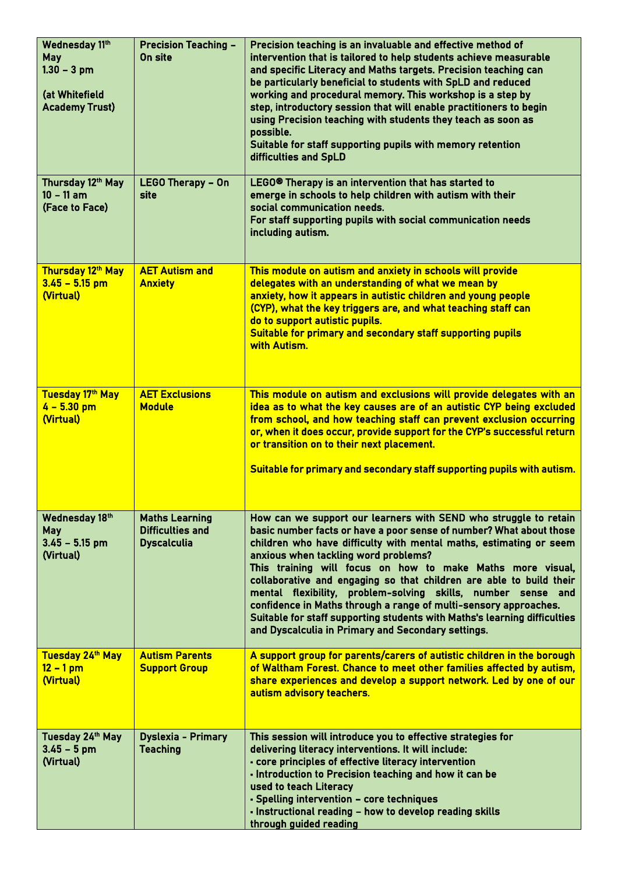| Wednesday 11th<br>May<br>$1.30 - 3$ pm<br>(at Whitefield<br><b>Academy Trust)</b> | <b>Precision Teaching -</b><br>On site                                 | Precision teaching is an invaluable and effective method of<br>intervention that is tailored to help students achieve measurable<br>and specific Literacy and Maths targets. Precision teaching can<br>be particularly beneficial to students with SpLD and reduced<br>working and procedural memory. This workshop is a step by<br>step, introductory session that will enable practitioners to begin<br>using Precision teaching with students they teach as soon as<br>possible.<br>Suitable for staff supporting pupils with memory retention<br>difficulties and SpLD                                                                                        |
|-----------------------------------------------------------------------------------|------------------------------------------------------------------------|-------------------------------------------------------------------------------------------------------------------------------------------------------------------------------------------------------------------------------------------------------------------------------------------------------------------------------------------------------------------------------------------------------------------------------------------------------------------------------------------------------------------------------------------------------------------------------------------------------------------------------------------------------------------|
| Thursday 12th May<br>$10 - 11$ am<br>(Face to Face)                               | <b>LEGO Therapy - On</b><br>site                                       | LEGO® Therapy is an intervention that has started to<br>emerge in schools to help children with autism with their<br>social communication needs.<br>For staff supporting pupils with social communication needs<br>including autism.                                                                                                                                                                                                                                                                                                                                                                                                                              |
| Thursday 12th May<br>$3.45 - 5.15$ pm<br>(Virtual)                                | <b>AET Autism and</b><br><b>Anxiety</b>                                | This module on autism and anxiety in schools will provide<br>delegates with an understanding of what we mean by<br>anxiety, how it appears in autistic children and young people<br>(CYP), what the key triggers are, and what teaching staff can<br>do to support autistic pupils.<br>Suitable for primary and secondary staff supporting pupils<br>with Autism.                                                                                                                                                                                                                                                                                                 |
| Tuesday 17th May<br>$4 - 5.30$ pm<br>(Virtual)                                    | <b>AET Exclusions</b><br><b>Module</b>                                 | This module on autism and exclusions will provide delegates with an<br>idea as to what the key causes are of an autistic CYP being excluded<br>from school, and how teaching staff can prevent exclusion occurring<br>or, when it does occur, provide support for the CYP's successful return<br>or transition on to their next placement.<br>Suitable for primary and secondary staff supporting pupils with autism.                                                                                                                                                                                                                                             |
| Wednesday 18th<br><b>May</b><br>$3.45 - 5.15$ pm<br>(Virtual)                     | <b>Maths Learning</b><br><b>Difficulties and</b><br><b>Dyscalculia</b> | How can we support our learners with SEND who struggle to retain<br>basic number facts or have a poor sense of number? What about those<br>children who have difficulty with mental maths, estimating or seem<br>anxious when tackling word problems?<br>This training will focus on how to make Maths more visual,<br>collaborative and engaging so that children are able to build their<br>mental flexibility, problem-solving skills, number sense and<br>confidence in Maths through a range of multi-sensory approaches.<br>Suitable for staff supporting students with Maths's learning difficulties<br>and Dyscalculia in Primary and Secondary settings. |
| Tuesday 24th May<br>$12 - 1$ pm<br>(Virtual)                                      | <b>Autism Parents</b><br><b>Support Group</b>                          | A support group for parents/carers of autistic children in the borough<br>of Waltham Forest. Chance to meet other families affected by autism,<br>share experiences and develop a support network. Led by one of our<br>autism advisory teachers.                                                                                                                                                                                                                                                                                                                                                                                                                 |
| Tuesday 24th May<br>$3.45 - 5$ pm<br>(Virtual)                                    | <b>Dyslexia - Primary</b><br><b>Teaching</b>                           | This session will introduce you to effective strategies for<br>delivering literacy interventions. It will include:<br>- core principles of effective literacy intervention<br>- Introduction to Precision teaching and how it can be<br>used to teach Literacy<br>- Spelling intervention - core techniques<br>- Instructional reading - how to develop reading skills<br>through guided reading                                                                                                                                                                                                                                                                  |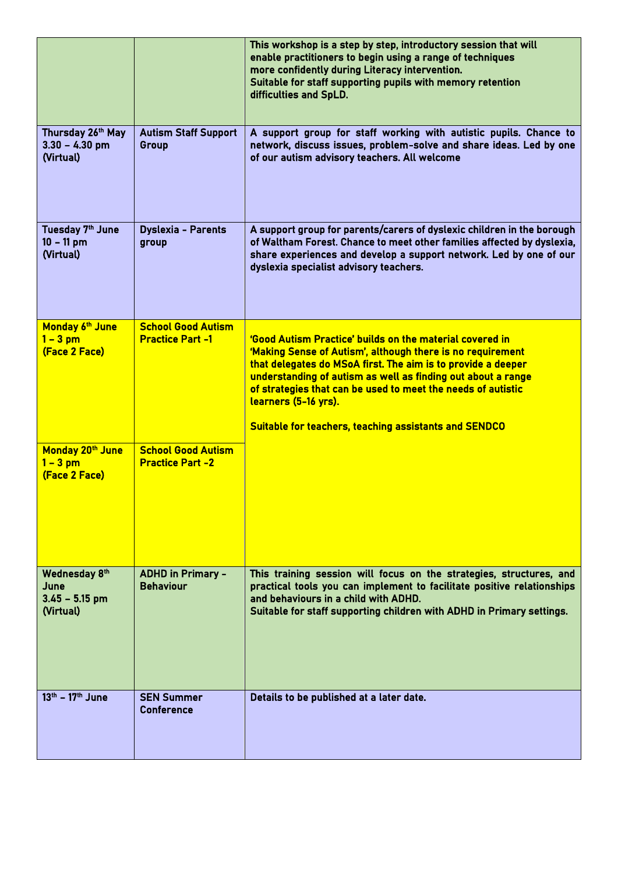|                                                        |                                                      | This workshop is a step by step, introductory session that will<br>enable practitioners to begin using a range of techniques<br>more confidently during Literacy intervention.<br>Suitable for staff supporting pupils with memory retention<br>difficulties and SpLD.                                                                                                                                         |
|--------------------------------------------------------|------------------------------------------------------|----------------------------------------------------------------------------------------------------------------------------------------------------------------------------------------------------------------------------------------------------------------------------------------------------------------------------------------------------------------------------------------------------------------|
| Thursday 26th May<br>$3.30 - 4.30$ pm<br>(Virtual)     | <b>Autism Staff Support</b><br>Group                 | A support group for staff working with autistic pupils. Chance to<br>network, discuss issues, problem-solve and share ideas. Led by one<br>of our autism advisory teachers. All welcome                                                                                                                                                                                                                        |
| Tuesday 7th June<br>$10 - 11$ pm<br>(Virtual)          | <b>Dyslexia - Parents</b><br>group                   | A support group for parents/carers of dyslexic children in the borough<br>of Waltham Forest. Chance to meet other families affected by dyslexia,<br>share experiences and develop a support network. Led by one of our<br>dyslexia specialist advisory teachers.                                                                                                                                               |
| Monday 6th June<br>$1 - 3$ pm<br>(Face 2 Face)         | <b>School Good Autism</b><br><b>Practice Part -1</b> | 'Good Autism Practice' builds on the material covered in<br>'Making Sense of Autism', although there is no requirement<br>that delegates do MSoA first. The aim is to provide a deeper<br>understanding of autism as well as finding out about a range<br>of strategies that can be used to meet the needs of autistic<br>learners (5-16 yrs).<br><b>Suitable for teachers, teaching assistants and SENDCO</b> |
| Monday 20th June<br>$1 - 3$ pm<br>(Face 2 Face)        | <b>School Good Autism</b><br><b>Practice Part -2</b> |                                                                                                                                                                                                                                                                                                                                                                                                                |
| Wednesday 8th<br>June<br>$3.45 - 5.15$ pm<br>(Virtual) | <b>ADHD in Primary -</b><br><b>Behaviour</b>         | This training session will focus on the strategies, structures, and<br>practical tools you can implement to facilitate positive relationships<br>and behaviours in a child with ADHD.<br>Suitable for staff supporting children with ADHD in Primary settings.                                                                                                                                                 |
| 13th - 17th June                                       | <b>SEN Summer</b><br><b>Conference</b>               | Details to be published at a later date.                                                                                                                                                                                                                                                                                                                                                                       |